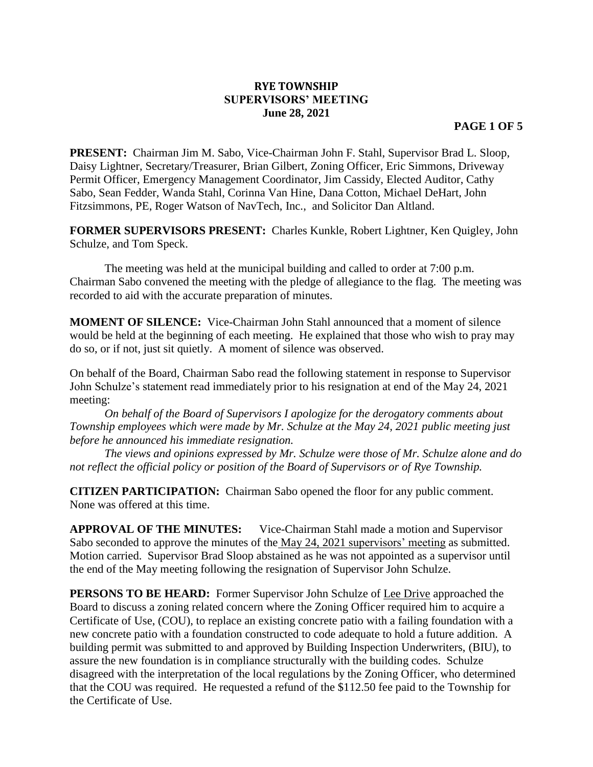## **RYE TOWNSHIP SUPERVISORS' MEETING June 28, 2021**

**PRESENT:** Chairman Jim M. Sabo, Vice-Chairman John F. Stahl, Supervisor Brad L. Sloop, Daisy Lightner, Secretary/Treasurer, Brian Gilbert, Zoning Officer, Eric Simmons, Driveway Permit Officer, Emergency Management Coordinator, Jim Cassidy, Elected Auditor, Cathy Sabo, Sean Fedder, Wanda Stahl, Corinna Van Hine, Dana Cotton, Michael DeHart, John Fitzsimmons, PE, Roger Watson of NavTech, Inc., and Solicitor Dan Altland.

**FORMER SUPERVISORS PRESENT:** Charles Kunkle, Robert Lightner, Ken Quigley, John Schulze, and Tom Speck.

The meeting was held at the municipal building and called to order at 7:00 p.m. Chairman Sabo convened the meeting with the pledge of allegiance to the flag. The meeting was recorded to aid with the accurate preparation of minutes.

**MOMENT OF SILENCE:** Vice-Chairman John Stahl announced that a moment of silence would be held at the beginning of each meeting. He explained that those who wish to pray may do so, or if not, just sit quietly. A moment of silence was observed.

On behalf of the Board, Chairman Sabo read the following statement in response to Supervisor John Schulze's statement read immediately prior to his resignation at end of the May 24, 2021 meeting:

*On behalf of the Board of Supervisors I apologize for the derogatory comments about Township employees which were made by Mr. Schulze at the May 24, 2021 public meeting just before he announced his immediate resignation.* 

*The views and opinions expressed by Mr. Schulze were those of Mr. Schulze alone and do not reflect the official policy or position of the Board of Supervisors or of Rye Township.*

**CITIZEN PARTICIPATION:** Chairman Sabo opened the floor for any public comment. None was offered at this time.

**APPROVAL OF THE MINUTES:** Vice-Chairman Stahl made a motion and Supervisor Sabo seconded to approve the minutes of the May 24, 2021 supervisors' meeting as submitted. Motion carried. Supervisor Brad Sloop abstained as he was not appointed as a supervisor until the end of the May meeting following the resignation of Supervisor John Schulze.

**PERSONS TO BE HEARD:** Former Supervisor John Schulze of Lee Drive approached the Board to discuss a zoning related concern where the Zoning Officer required him to acquire a Certificate of Use, (COU), to replace an existing concrete patio with a failing foundation with a new concrete patio with a foundation constructed to code adequate to hold a future addition. A building permit was submitted to and approved by Building Inspection Underwriters, (BIU), to assure the new foundation is in compliance structurally with the building codes. Schulze disagreed with the interpretation of the local regulations by the Zoning Officer, who determined that the COU was required. He requested a refund of the \$112.50 fee paid to the Township for the Certificate of Use.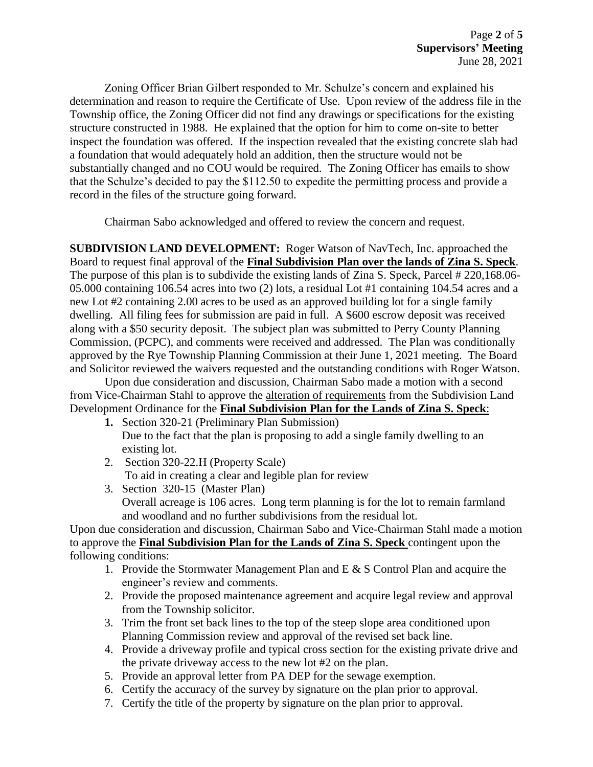Zoning Officer Brian Gilbert responded to Mr. Schulze's concern and explained his determination and reason to require the Certificate of Use. Upon review of the address file in the Township office, the Zoning Officer did not find any drawings or specifications for the existing structure constructed in 1988. He explained that the option for him to come on-site to better inspect the foundation was offered. If the inspection revealed that the existing concrete slab had a foundation that would adequately hold an addition, then the structure would not be substantially changed and no COU would be required. The Zoning Officer has emails to show that the Schulze's decided to pay the \$112.50 to expedite the permitting process and provide a record in the files of the structure going forward.

Chairman Sabo acknowledged and offered to review the concern and request.

**SUBDIVISION LAND DEVELOPMENT:** Roger Watson of NavTech, Inc. approached the Board to request final approval of the **Final Subdivision Plan over the lands of Zina S. Speck**. The purpose of this plan is to subdivide the existing lands of Zina S. Speck, Parcel # 220,168.06- 05.000 containing 106.54 acres into two (2) lots, a residual Lot #1 containing 104.54 acres and a new Lot #2 containing 2.00 acres to be used as an approved building lot for a single family dwelling. All filing fees for submission are paid in full. A \$600 escrow deposit was received along with a \$50 security deposit. The subject plan was submitted to Perry County Planning Commission, (PCPC), and comments were received and addressed. The Plan was conditionally approved by the Rye Township Planning Commission at their June 1, 2021 meeting. The Board and Solicitor reviewed the waivers requested and the outstanding conditions with Roger Watson.

Upon due consideration and discussion, Chairman Sabo made a motion with a second from Vice-Chairman Stahl to approve the alteration of requirements from the Subdivision Land Development Ordinance for the **Final Subdivision Plan for the Lands of Zina S. Speck**:

- **1.** Section 320-21 (Preliminary Plan Submission) Due to the fact that the plan is proposing to add a single family dwelling to an existing lot.
- 2. Section 320-22.H (Property Scale) To aid in creating a clear and legible plan for review
- 3. Section 320-15 (Master Plan) Overall acreage is 106 acres. Long term planning is for the lot to remain farmland and woodland and no further subdivisions from the residual lot.

Upon due consideration and discussion, Chairman Sabo and Vice-Chairman Stahl made a motion to approve the **Final Subdivision Plan for the Lands of Zina S. Speck** contingent upon the following conditions:

- 1. Provide the Stormwater Management Plan and  $E \& S$  Control Plan and acquire the engineer's review and comments.
- 2. Provide the proposed maintenance agreement and acquire legal review and approval from the Township solicitor.
- 3. Trim the front set back lines to the top of the steep slope area conditioned upon Planning Commission review and approval of the revised set back line.
- 4. Provide a driveway profile and typical cross section for the existing private drive and the private driveway access to the new lot #2 on the plan.
- 5. Provide an approval letter from PA DEP for the sewage exemption.
- 6. Certify the accuracy of the survey by signature on the plan prior to approval.
- 7. Certify the title of the property by signature on the plan prior to approval.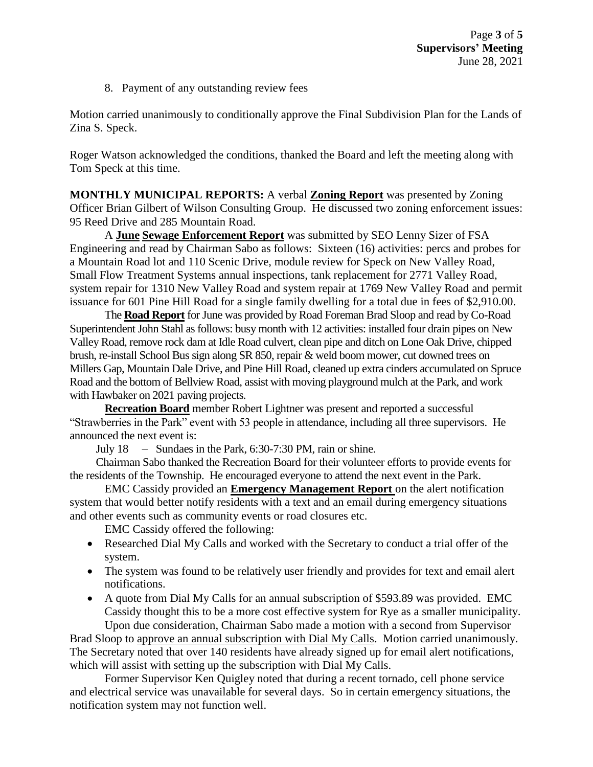8. Payment of any outstanding review fees

Motion carried unanimously to conditionally approve the Final Subdivision Plan for the Lands of Zina S. Speck.

Roger Watson acknowledged the conditions, thanked the Board and left the meeting along with Tom Speck at this time.

**MONTHLY MUNICIPAL REPORTS:** A verbal **Zoning Report** was presented by Zoning Officer Brian Gilbert of Wilson Consulting Group. He discussed two zoning enforcement issues: 95 Reed Drive and 285 Mountain Road.

A **June Sewage Enforcement Report** was submitted by SEO Lenny Sizer of FSA Engineering and read by Chairman Sabo as follows: Sixteen (16) activities: percs and probes for a Mountain Road lot and 110 Scenic Drive, module review for Speck on New Valley Road, Small Flow Treatment Systems annual inspections, tank replacement for 2771 Valley Road, system repair for 1310 New Valley Road and system repair at 1769 New Valley Road and permit issuance for 601 Pine Hill Road for a single family dwelling for a total due in fees of \$2,910.00.

The **Road Report** for June was provided by Road Foreman Brad Sloop and read by Co-Road Superintendent John Stahl as follows: busy month with 12 activities: installed four drain pipes on New Valley Road, remove rock dam at Idle Road culvert, clean pipe and ditch on Lone Oak Drive, chipped brush, re-install School Bus sign along SR 850, repair & weld boom mower, cut downed trees on Millers Gap, Mountain Dale Drive, and Pine Hill Road, cleaned up extra cinders accumulated on Spruce Road and the bottom of Bellview Road, assist with moving playground mulch at the Park, and work with Hawbaker on 2021 paving projects.

**Recreation Board** member Robert Lightner was present and reported a successful "Strawberries in the Park" event with 53 people in attendance, including all three supervisors. He announced the next event is:

July 18 – Sundaes in the Park, 6:30-7:30 PM, rain or shine.

Chairman Sabo thanked the Recreation Board for their volunteer efforts to provide events for the residents of the Township. He encouraged everyone to attend the next event in the Park.

EMC Cassidy provided an **Emergency Management Report** on the alert notification system that would better notify residents with a text and an email during emergency situations and other events such as community events or road closures etc.

EMC Cassidy offered the following:

- Researched Dial My Calls and worked with the Secretary to conduct a trial offer of the system.
- The system was found to be relatively user friendly and provides for text and email alert notifications.
- A quote from Dial My Calls for an annual subscription of \$593.89 was provided. EMC Cassidy thought this to be a more cost effective system for Rye as a smaller municipality.

Upon due consideration, Chairman Sabo made a motion with a second from Supervisor Brad Sloop to approve an annual subscription with Dial My Calls. Motion carried unanimously. The Secretary noted that over 140 residents have already signed up for email alert notifications, which will assist with setting up the subscription with Dial My Calls.

Former Supervisor Ken Quigley noted that during a recent tornado, cell phone service and electrical service was unavailable for several days. So in certain emergency situations, the notification system may not function well.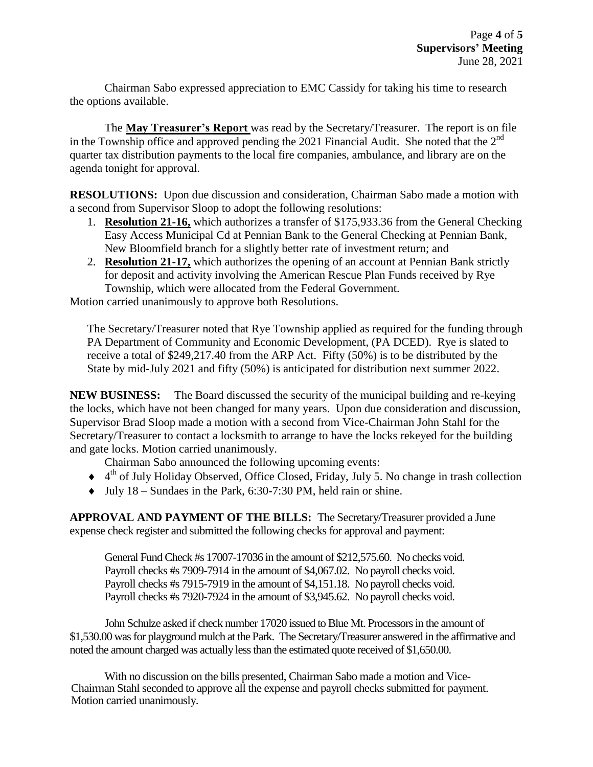Chairman Sabo expressed appreciation to EMC Cassidy for taking his time to research the options available.

The **May Treasurer's Report** was read by the Secretary/Treasurer. The report is on file in the Township office and approved pending the 2021 Financial Audit. She noted that the  $2<sup>nd</sup>$ quarter tax distribution payments to the local fire companies, ambulance, and library are on the agenda tonight for approval.

**RESOLUTIONS:** Upon due discussion and consideration, Chairman Sabo made a motion with a second from Supervisor Sloop to adopt the following resolutions:

- 1. **Resolution 21-16,** which authorizes a transfer of \$175,933.36 from the General Checking Easy Access Municipal Cd at Pennian Bank to the General Checking at Pennian Bank, New Bloomfield branch for a slightly better rate of investment return; and
- 2. **Resolution 21-17,** which authorizes the opening of an account at Pennian Bank strictly for deposit and activity involving the American Rescue Plan Funds received by Rye Township, which were allocated from the Federal Government.

Motion carried unanimously to approve both Resolutions.

The Secretary/Treasurer noted that Rye Township applied as required for the funding through PA Department of Community and Economic Development, (PA DCED). Rye is slated to receive a total of \$249,217.40 from the ARP Act. Fifty (50%) is to be distributed by the State by mid-July 2021 and fifty (50%) is anticipated for distribution next summer 2022.

**NEW BUSINESS:** The Board discussed the security of the municipal building and re-keying the locks, which have not been changed for many years. Upon due consideration and discussion, Supervisor Brad Sloop made a motion with a second from Vice-Chairman John Stahl for the Secretary/Treasurer to contact a locksmith to arrange to have the locks rekeyed for the building and gate locks. Motion carried unanimously.

Chairman Sabo announced the following upcoming events:

- ◆ 4<sup>th</sup> of July Holiday Observed, Office Closed, Friday, July 5. No change in trash collection
- $\bullet$  July 18 Sundaes in the Park, 6:30-7:30 PM, held rain or shine.

**APPROVAL AND PAYMENT OF THE BILLS:** The Secretary/Treasurer provided a June expense check register and submitted the following checks for approval and payment:

General Fund Check #s 17007-17036 in the amount of \$212,575.60. No checks void. Payroll checks #s 7909-7914 in the amount of \$4,067.02. No payroll checks void. Payroll checks #s 7915-7919 in the amount of \$4,151.18. No payroll checks void. Payroll checks #s 7920-7924 in the amount of \$3,945.62. No payroll checks void.

John Schulze asked if check number 17020 issued to Blue Mt. Processors in the amount of \$1,530.00 was for playground mulch at the Park. The Secretary/Treasurer answered in the affirmative and noted the amount charged was actually less than the estimated quote received of \$1,650.00.

With no discussion on the bills presented, Chairman Sabo made a motion and Vice-Chairman Stahl seconded to approve all the expense and payroll checks submitted for payment. Motion carried unanimously.